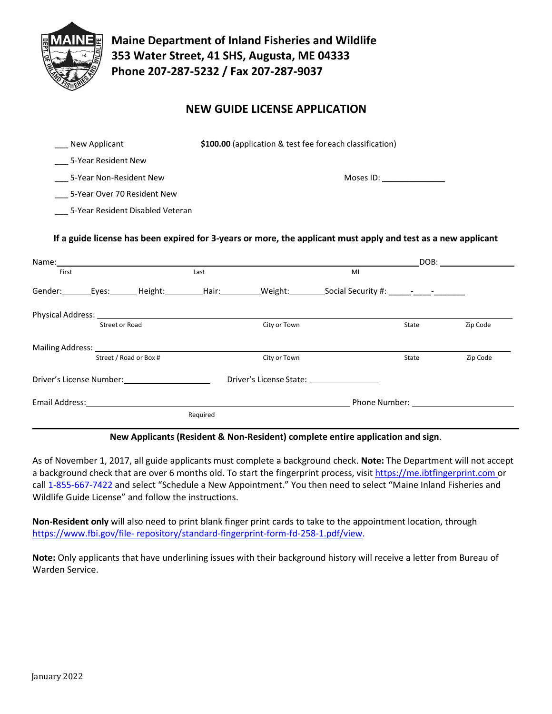

**Maine Department of Inland Fisheries and Wildlife 353 Water Street, 41 SHS, Augusta, ME 04333 Phone 207-287-5232 / Fax 207-287-9037**

# **NEW GUIDE LICENSE APPLICATION**

| New Applicant                    | \$100.00 (application & test fee for each classification) |  |  |
|----------------------------------|-----------------------------------------------------------|--|--|
| 5-Year Resident New              |                                                           |  |  |
| 5-Year Non-Resident New          | Moses ID:                                                 |  |  |
| 5-Year Over 70 Resident New      |                                                           |  |  |
| 5-Year Resident Disabled Veteran |                                                           |  |  |

### **If a guide license has been expired for 3-years or more, the applicant must apply and test as a new applicant**

| Name:                                        |                       |               |                                                                                                                |                |       | DOB:                                                                                                                                                                                                                          |          |
|----------------------------------------------|-----------------------|---------------|----------------------------------------------------------------------------------------------------------------|----------------|-------|-------------------------------------------------------------------------------------------------------------------------------------------------------------------------------------------------------------------------------|----------|
| First                                        |                       |               | Last                                                                                                           |                | MI    |                                                                                                                                                                                                                               |          |
| Gender:                                      |                       | Eyes: Height: | Hair: The Market State State State State State State State State State State State State State State State Sta | Weight:_______ |       |                                                                                                                                                                                                                               |          |
| Physical Address: Universe Physical Address: |                       |               |                                                                                                                |                |       |                                                                                                                                                                                                                               |          |
|                                              | <b>Street or Road</b> |               |                                                                                                                | City or Town   |       | State                                                                                                                                                                                                                         | Zip Code |
|                                              |                       |               |                                                                                                                |                |       |                                                                                                                                                                                                                               |          |
| Street / Road or Box #                       |                       |               | City or Town                                                                                                   |                | State | Zip Code                                                                                                                                                                                                                      |          |
| Driver's License Number:                     |                       |               |                                                                                                                |                |       |                                                                                                                                                                                                                               |          |
| Email Address:                               |                       |               |                                                                                                                |                |       | Phone Number: The contract of the contract of the contract of the contract of the contract of the contract of the contract of the contract of the contract of the contract of the contract of the contract of the contract of |          |
|                                              |                       |               | Required                                                                                                       |                |       |                                                                                                                                                                                                                               |          |

#### **New Applicants (Resident & Non-Resident) complete entire application and sign**.

As of November 1, 2017, all guide applicants must complete a background check. **Note:** The Department will not accept a background check that are over 6 months old. To start the fingerprint process, visit [https://me.ibtfingerprint.com o](https://me.ibtfingerprint.com/)r call 1-855-667-7422 and select "Schedule a New Appointment." You then need to select "Maine Inland Fisheries and Wildlife Guide License" and follow the instructions.

**Non-Resident only** will also need to print blank finger print cards to take to the appointment location, through [https://www.fbi.gov/file-](https://na01.safelinks.protection.outlook.com/?url=https%3A%2F%2Fwww.fbi.gov%2Ffile-repository%2Fstandard-fingerprint-form-fd-258-1.pdf%2Fview&data=02%7C01%7Cchristl.f.theriault%40maine.gov%7Cc138052fdc5443040b6d08d661d96e13%7C413fa8ab207d4b629bcdea1a8f2f864e%7C0%7C1%7C636803983819558578&sdata=B5b2CgSqF8v1eXzM6CH6qECU0DyYrBvUL%2Flv8rsgHEE%3D&reserved=0) [repository/standard-fingerprint-form-fd-258-1.pdf/view.](https://na01.safelinks.protection.outlook.com/?url=https%3A%2F%2Fwww.fbi.gov%2Ffile-repository%2Fstandard-fingerprint-form-fd-258-1.pdf%2Fview&data=02%7C01%7Cchristl.f.theriault%40maine.gov%7Cc138052fdc5443040b6d08d661d96e13%7C413fa8ab207d4b629bcdea1a8f2f864e%7C0%7C1%7C636803983819558578&sdata=B5b2CgSqF8v1eXzM6CH6qECU0DyYrBvUL%2Flv8rsgHEE%3D&reserved=0) 

**Note:** Only applicants that have underlining issues with their background history will receive a letter from Bureau of Warden Service.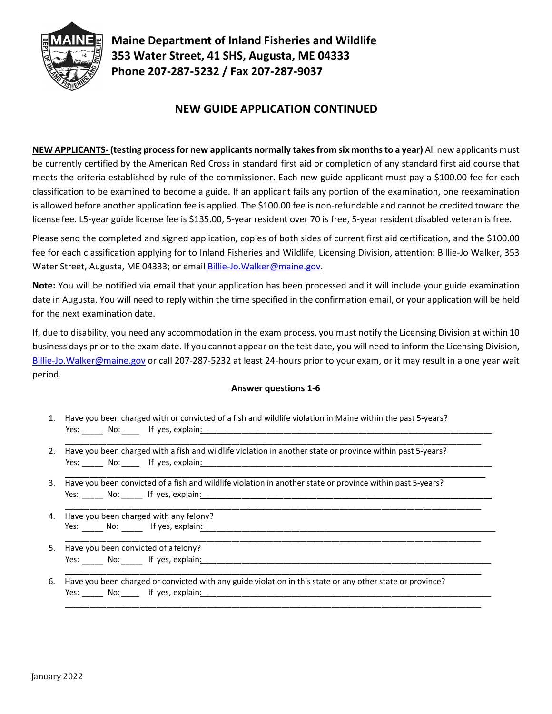

**Maine Department of Inland Fisheries and Wildlife 353 Water Street, 41 SHS, Augusta, ME 04333 Phone 207-287-5232 / Fax 207-287-9037**

# **NEW GUIDE APPLICATION CONTINUED**

**NEW APPLICANTS- (testing processfor new applicants normally takesfrom six monthsto a year)** All new applicants must be currently certified by the American Red Cross in standard first aid or completion of any standard first aid course that meets the criteria established by rule of the commissioner. Each new guide applicant must pay a \$100.00 fee for each classification to be examined to become a guide. If an applicant fails any portion of the examination, one reexamination is allowed before another application fee is applied. The \$100.00 fee is non-refundable and cannot be credited toward the license fee. L5-year guide license fee is \$135.00, 5-year resident over 70 is free, 5-year resident disabled veteran is free.

Please send the completed and signed application, copies of both sides of current first aid certification, and the \$100.00 fee for each classification applying for to Inland Fisheries and Wildlife, Licensing Division, attention: Billie-Jo Walker, 353 Water Street, Augusta, ME 04333; or email [Billie-Jo.Walker@maine.gov.](mailto:Billie-Jo.Walker@maine.gov)

**Note:** You will be notified via email that your application has been processed and it will include your guide examination date in Augusta. You will need to reply within the time specified in the confirmation email, or your application will be held for the next examination date.

If, due to disability, you need any accommodation in the exam process, you must notify the Licensing Division at within 10 business days prior to the exam date. If you cannot appear on the test date, you will need to inform the Licensing Division, [Billie-Jo.Walker@maine.gov](mailto:Billie-Jo.Walker@maine.gov) or call 207-287-5232 at least 24-hours prior to your exam, or it may result in a one year wait period.

### **Answer questions 1-6**

- Yes: \_\_\_\_\_\_ No: \_\_\_\_\_ If yes, explain<u>:</u> 1. Have you been charged with or convicted of a fish and wildlife violation in Maine within the past 5-years?
- Yes: \_\_\_\_\_\_ No: \_\_\_\_\_ If yes, explain<u>:</u> 2. Have you been charged with a fish and wildlife violation in another state or province within past 5-years?
- Yes: \_\_\_\_\_\_ No: \_\_\_\_\_\_ If yes, explain: 3. Have you been convicted of a fish and wildlife violation in another state or province within past 5-years?
- Yes: \_\_\_\_\_\_ No: \_\_\_\_\_\_ If yes*,* explain<u>:</u> 4. Have you been charged with any felony?
- Yes: \_\_\_\_\_\_ No: \_\_\_\_\_\_ If yes, explain<u>:</u> 5. Have you been convicted of a felony?
- Yes: \_\_\_\_\_\_ No: \_\_\_\_\_ If yes, explain<u>:</u> 6. Have you been charged or convicted with any guide violation in this state or any other state or province?